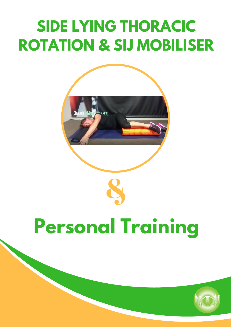## **SIDE LYING THORACIC ROTATION & SIJ MOBILISER**





## **Personal Training**

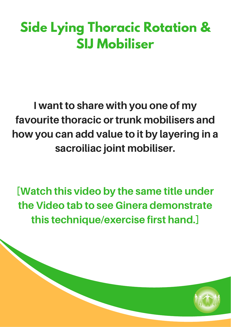## **Side Lying Thoracic Rotation & SIJ Mobiliser**

## I want to share with you one of my favourite thoracic or trunk mobilisers and how you can add value to it by layering in a sacroiliac joint mobiliser.

[Watch this video by the same title under the Video tab to see Ginera demonstrate this technique/exercise first hand.]

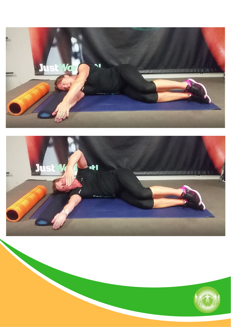



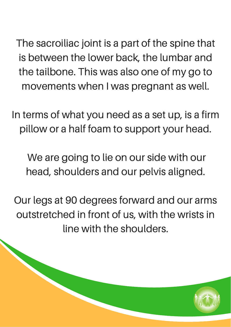The sacroiliac joint is a part of the spine that is between the lower back, the lumbar and the tailbone. This was also one of my go to movements when I was pregnant as well.

In terms of what you need as a set up, is a firm pillow or a half foam to support your head.

We are going to lie on our side with our head, shoulders and our pelvis aligned.

Our legs at 90 degrees forward and our arms outstretched in front of us, with the wrists in line with the shoulders.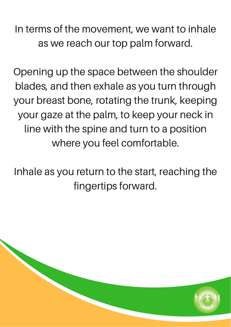In terms of the movement, we want to inhale as we reach our top palm forward.

Opening up the space between the shoulder blades, and then exhale as you turn through your breast bone, rotating the trunk, keeping your gaze at the palm, to keep your neck in line with the spine and turn to a position where you feel comfortable.

Inhale as you return to the start, reaching the fingertips forward.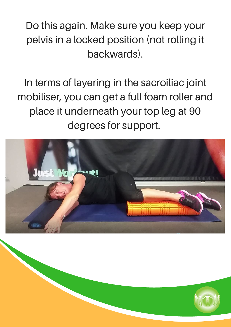Do this again. Make sure you keep your pelvis in a locked position (not rolling it backwards).

In terms of layering in the sacroiliac joint mobiliser, you can get a full foam roller and place it underneath your top leg at 90 degrees for support.